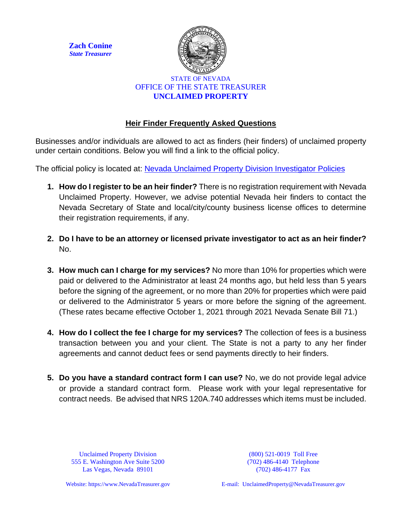**Zach Conine** *State Treasurer*



## STATE OF NEVADA OFFICE OF THE STATE TREASURER **UNCLAIMED PROPERTY**

## **Heir Finder Frequently Asked Questions**

Businesses and/or individuals are allowed to act as finders (heir finders) of unclaimed property under certain conditions. Below you will find a link to the official policy.

The official policy is located at: [Nevada Unclaimed Property Division Investigator Policies](http://www.nevadatreasurer.gov/uploadedFiles/treasurer.nv.gov/content/Unclaimed_Property/Forms/Claimant/UPInvestigatorPolicies.pdf)

- **1. How do I register to be an heir finder?** There is no registration requirement with Nevada Unclaimed Property. However, we advise potential Nevada heir finders to contact the Nevada Secretary of State and local/city/county business license offices to determine their registration requirements, if any.
- **2. Do I have to be an attorney or licensed private investigator to act as an heir finder?**  No.
- **3. How much can I charge for my services?** No more than 10% for properties which were paid or delivered to the Administrator at least 24 months ago, but held less than 5 years before the signing of the agreement, or no more than 20% for properties which were paid or delivered to the Administrator 5 years or more before the signing of the agreement. (These rates became effective October 1, 2021 through 2021 Nevada Senate Bill 71.)
- **4. How do I collect the fee I charge for my services?** The collection of fees is a business transaction between you and your client. The State is not a party to any her finder agreements and cannot deduct fees or send payments directly to heir finders.
- **5. Do you have a standard contract form I can use?** No, we do not provide legal advice or provide a standard contract form. Please work with your legal representative for contract needs. Be advised that NRS 120A.740 addresses which items must be included.

Unclaimed Property Division 555 E. Washington Ave Suite 5200 Las Vegas, Nevada 89101

(800) 521-0019 Toll Free (702) 486-4140 Telephone (702) 486-4177 Fax

Website: https://www.NevadaTreasurer.gov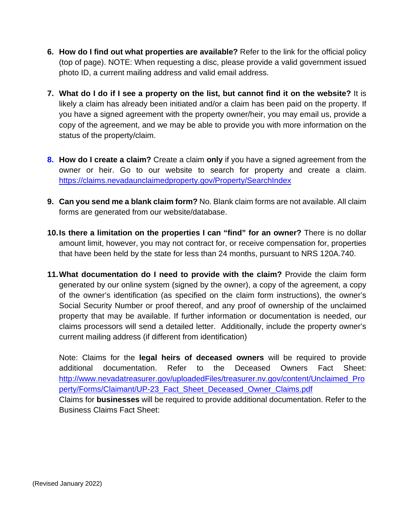- **6. How do I find out what properties are available?** Refer to the link for the official policy (top of page). NOTE: When requesting a disc, please provide a valid government issued photo ID, a current mailing address and valid email address.
- **7. What do I do if I see a property on the list, but cannot find it on the website?** It is likely a claim has already been initiated and/or a claim has been paid on the property. If you have a signed agreement with the property owner/heir, you may email us, provide a copy of the agreement, and we may be able to provide you with more information on the status of the property/claim.
- **8. How do I create a claim?** Create a claim **only** if you have a signed agreement from the owner or heir. Go to our website to search for property and create a claim. <https://claims.nevadaunclaimedproperty.gov/Property/SearchIndex>
- **9. Can you send me a blank claim form?** No. Blank claim forms are not available. All claim forms are generated from our website/database.
- **10.Is there a limitation on the properties I can "find" for an owner?** There is no dollar amount limit, however, you may not contract for, or receive compensation for, properties that have been held by the state for less than 24 months, pursuant to NRS 120A.740.
- **11.What documentation do I need to provide with the claim?** Provide the claim form generated by our online system (signed by the owner), a copy of the agreement, a copy of the owner's identification (as specified on the claim form instructions), the owner's Social Security Number or proof thereof, and any proof of ownership of the unclaimed property that may be available. If further information or documentation is needed, our claims processors will send a detailed letter. Additionally, include the property owner's current mailing address (if different from identification)

Note: Claims for the **legal heirs of deceased owners** will be required to provide additional documentation. Refer to the Deceased Owners Fact Sheet: [http://www.nevadatreasurer.gov/uploadedFiles/treasurer.nv.gov/content/Unclaimed\\_Pro](http://www.nevadatreasurer.gov/uploadedFiles/treasurer.nv.gov/content/Unclaimed_Property/Forms/Claimant/UP-23_Fact_Sheet_Deceased_Owner_Claims.pdf) [perty/Forms/Claimant/UP-23\\_Fact\\_Sheet\\_Deceased\\_Owner\\_Claims.pdf](http://www.nevadatreasurer.gov/uploadedFiles/treasurer.nv.gov/content/Unclaimed_Property/Forms/Claimant/UP-23_Fact_Sheet_Deceased_Owner_Claims.pdf) Claims for **businesses** will be required to provide additional documentation. Refer to the Business Claims Fact Sheet: